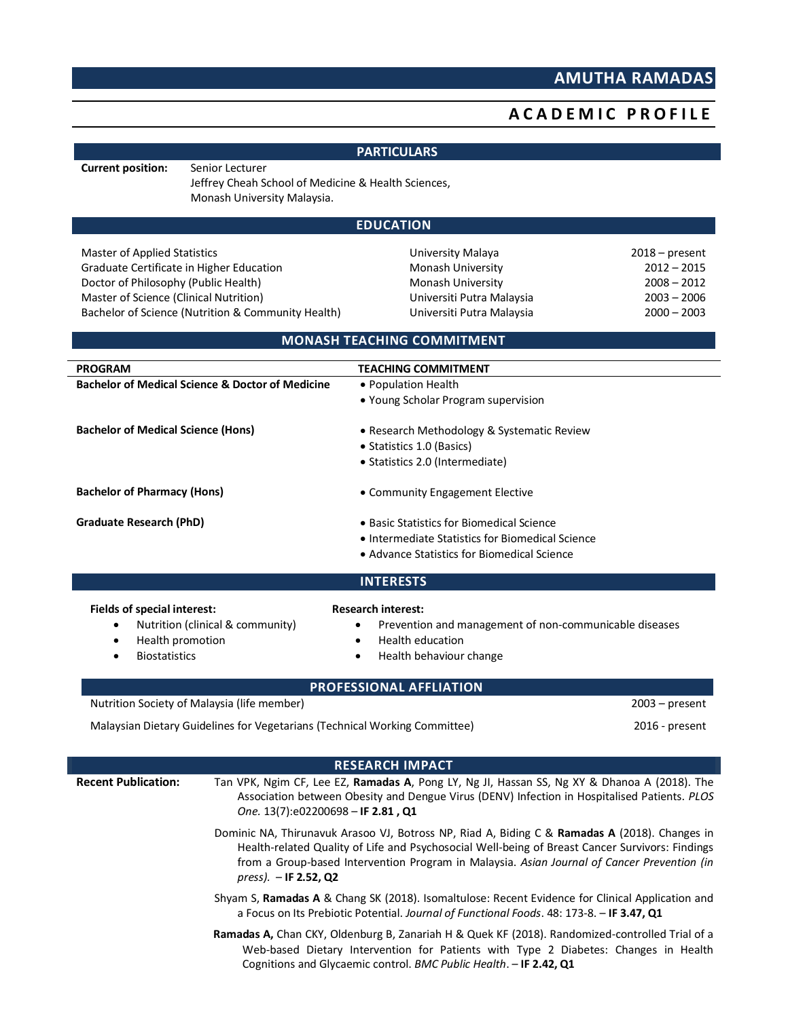## **AMUTHA RAMADAS**

## **A C A D E M I C P R O FILE**

|                                                             |                                                                                                       | <b>PARTICULARS</b>                                                                                                                                                                                                                                                                              |                  |  |  |  |
|-------------------------------------------------------------|-------------------------------------------------------------------------------------------------------|-------------------------------------------------------------------------------------------------------------------------------------------------------------------------------------------------------------------------------------------------------------------------------------------------|------------------|--|--|--|
| <b>Current position:</b>                                    | Senior Lecturer<br>Jeffrey Cheah School of Medicine & Health Sciences,<br>Monash University Malaysia. |                                                                                                                                                                                                                                                                                                 |                  |  |  |  |
|                                                             |                                                                                                       | <b>EDUCATION</b>                                                                                                                                                                                                                                                                                |                  |  |  |  |
| <b>Master of Applied Statistics</b>                         |                                                                                                       | University Malaya                                                                                                                                                                                                                                                                               | $2018$ – present |  |  |  |
|                                                             | Graduate Certificate in Higher Education                                                              | Monash University                                                                                                                                                                                                                                                                               | $2012 - 2015$    |  |  |  |
| Doctor of Philosophy (Public Health)                        |                                                                                                       | Monash University                                                                                                                                                                                                                                                                               | $2008 - 2012$    |  |  |  |
| Master of Science (Clinical Nutrition)                      |                                                                                                       | Universiti Putra Malaysia                                                                                                                                                                                                                                                                       | $2003 - 2006$    |  |  |  |
|                                                             | Bachelor of Science (Nutrition & Community Health)                                                    | Universiti Putra Malaysia                                                                                                                                                                                                                                                                       | $2000 - 2003$    |  |  |  |
|                                                             |                                                                                                       | <b>MONASH TEACHING COMMITMENT</b>                                                                                                                                                                                                                                                               |                  |  |  |  |
| <b>PROGRAM</b>                                              |                                                                                                       | <b>TEACHING COMMITMENT</b>                                                                                                                                                                                                                                                                      |                  |  |  |  |
| <b>Bachelor of Medical Science &amp; Doctor of Medicine</b> |                                                                                                       | • Population Health                                                                                                                                                                                                                                                                             |                  |  |  |  |
|                                                             |                                                                                                       | • Young Scholar Program supervision                                                                                                                                                                                                                                                             |                  |  |  |  |
| <b>Bachelor of Medical Science (Hons)</b>                   |                                                                                                       | • Research Methodology & Systematic Review                                                                                                                                                                                                                                                      |                  |  |  |  |
|                                                             |                                                                                                       | • Statistics 1.0 (Basics)                                                                                                                                                                                                                                                                       |                  |  |  |  |
|                                                             |                                                                                                       | · Statistics 2.0 (Intermediate)                                                                                                                                                                                                                                                                 |                  |  |  |  |
| <b>Bachelor of Pharmacy (Hons)</b>                          |                                                                                                       | • Community Engagement Elective                                                                                                                                                                                                                                                                 |                  |  |  |  |
|                                                             |                                                                                                       |                                                                                                                                                                                                                                                                                                 |                  |  |  |  |
| Graduate Research (PhD)                                     |                                                                                                       | • Basic Statistics for Biomedical Science                                                                                                                                                                                                                                                       |                  |  |  |  |
|                                                             |                                                                                                       | • Intermediate Statistics for Biomedical Science<br>• Advance Statistics for Biomedical Science                                                                                                                                                                                                 |                  |  |  |  |
|                                                             |                                                                                                       |                                                                                                                                                                                                                                                                                                 |                  |  |  |  |
|                                                             |                                                                                                       | <b>INTERESTS</b>                                                                                                                                                                                                                                                                                |                  |  |  |  |
| Fields of special interest:                                 |                                                                                                       | <b>Research interest:</b>                                                                                                                                                                                                                                                                       |                  |  |  |  |
|                                                             | Nutrition (clinical & community)                                                                      | Prevention and management of non-communicable diseases<br>٠                                                                                                                                                                                                                                     |                  |  |  |  |
| Health promotion<br>٠                                       |                                                                                                       | <b>Health education</b><br>$\bullet$                                                                                                                                                                                                                                                            |                  |  |  |  |
| <b>Biostatistics</b>                                        |                                                                                                       | Health behaviour change<br>$\bullet$                                                                                                                                                                                                                                                            |                  |  |  |  |
|                                                             |                                                                                                       | PROFESSIONAL AFFLIATION                                                                                                                                                                                                                                                                         |                  |  |  |  |
|                                                             | Nutrition Society of Malaysia (life member)                                                           |                                                                                                                                                                                                                                                                                                 | $2003 - present$ |  |  |  |
|                                                             | Malaysian Dietary Guidelines for Vegetarians (Technical Working Committee)                            |                                                                                                                                                                                                                                                                                                 | $2016$ - present |  |  |  |
|                                                             |                                                                                                       |                                                                                                                                                                                                                                                                                                 |                  |  |  |  |
|                                                             |                                                                                                       | <b>RESEARCH IMPACT</b>                                                                                                                                                                                                                                                                          |                  |  |  |  |
| <b>Recent Publication:</b>                                  |                                                                                                       | Tan VPK, Ngim CF, Lee EZ, Ramadas A, Pong LY, Ng JI, Hassan SS, Ng XY & Dhanoa A (2018). The<br>Association between Obesity and Dengue Virus (DENV) Infection in Hospitalised Patients. PLOS<br>One. 13(7):e02200698 - IF 2.81, Q1                                                              |                  |  |  |  |
|                                                             | $pres$ ). - IF 2.52, Q2                                                                               | Dominic NA, Thirunavuk Arasoo VJ, Botross NP, Riad A, Biding C & Ramadas A (2018). Changes in<br>Health-related Quality of Life and Psychosocial Well-being of Breast Cancer Survivors: Findings<br>from a Group-based Intervention Program in Malaysia. Asian Journal of Cancer Prevention (in |                  |  |  |  |
|                                                             |                                                                                                       | Shyam S, Ramadas A & Chang SK (2018). Isomaltulose: Recent Evidence for Clinical Application and<br>a Focus on Its Prebiotic Potential. Journal of Functional Foods. 48: 173-8. - IF 3.47, Q1                                                                                                   |                  |  |  |  |
|                                                             |                                                                                                       | Ramadas A, Chan CKY, Oldenburg B, Zanariah H & Quek KF (2018). Randomized-controlled Trial of a<br>Web-based Dietary Intervention for Patients with Type 2 Diabetes: Changes in Health                                                                                                          |                  |  |  |  |

Cognitions and Glycaemic control. *BMC Public Health*. – **IF 2.42, Q1**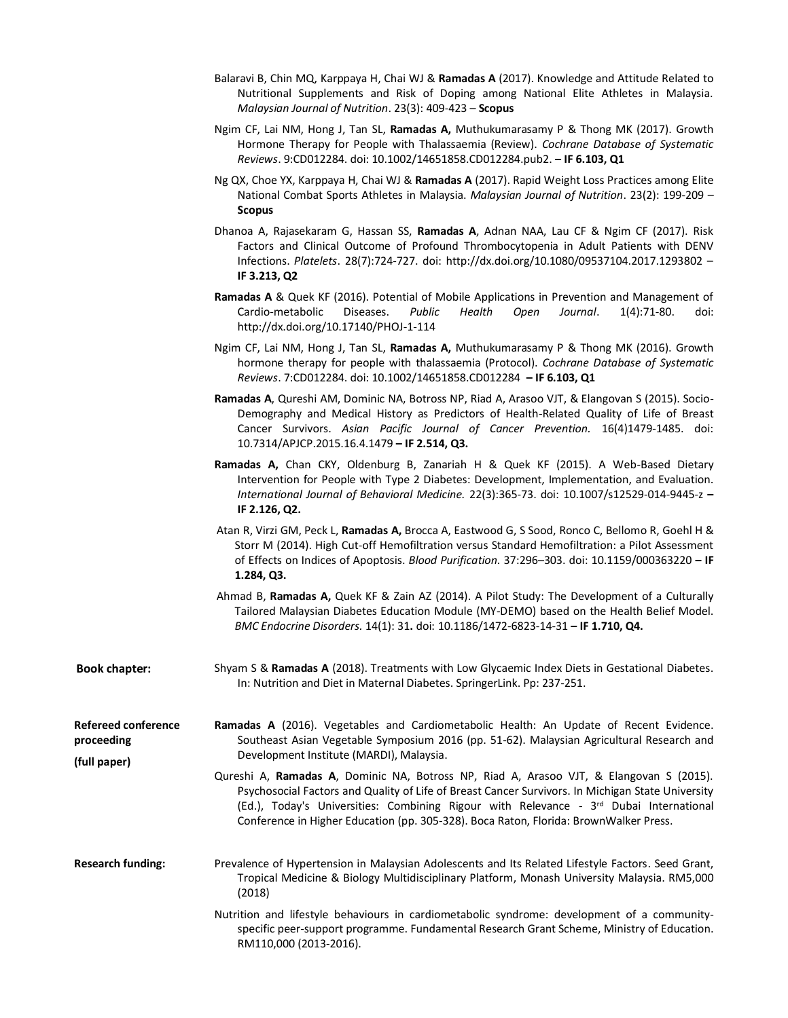- Balaravi B, Chin MQ, Karppaya H, Chai WJ & **Ramadas A** (2017). Knowledge and Attitude Related to Nutritional Supplements and Risk of Doping among National Elite Athletes in Malaysia. *Malaysian Journal of Nutrition*. 23(3): 409-423 – **Scopus**
- Ngim CF, Lai NM, Hong J, Tan SL, **Ramadas A,** Muthukumarasamy P & Thong MK (2017). Growth Hormone Therapy for People with Thalassaemia (Review). *Cochrane Database of Systematic Reviews*. 9:CD012284. doi: 10.1002/14651858.CD012284.pub2. **– IF 6.103, Q1**
- Ng QX, Choe YX, Karppaya H, Chai WJ & **Ramadas A** (2017). Rapid Weight Loss Practices among Elite National Combat Sports Athletes in Malaysia. *Malaysian Journal of Nutrition*. 23(2): 199-209 – **Scopus**
- Dhanoa A, Rajasekaram G, Hassan SS, **Ramadas A**, Adnan NAA, Lau CF & Ngim CF (2017). Risk Factors and Clinical Outcome of Profound Thrombocytopenia in Adult Patients with DENV Infections. *Platelets*. 28(7):724-727. doi: http://dx.doi.org/10.1080/09537104.2017.1293802 – **IF 3.213, Q2**
- **Ramadas A** & Quek KF (2016). Potential of Mobile Applications in Prevention and Management of Cardio-metabolic Diseases. *Public Health Open Journal*. 1(4):71-80. doi: http://dx.doi.org/10.17140/PHOJ-1-114
- Ngim CF, Lai NM, Hong J, Tan SL, **Ramadas A,** Muthukumarasamy P & Thong MK (2016). Growth hormone therapy for people with thalassaemia (Protocol). *Cochrane Database of Systematic Reviews*. 7:CD012284. doi: 10.1002/14651858.CD012284 **– IF 6.103, Q1**
- **Ramadas A**, Qureshi AM, Dominic NA, Botross NP, Riad A, Arasoo VJT, & Elangovan S (2015). Socio-Demography and Medical History as Predictors of Health-Related Quality of Life of Breast Cancer Survivors. *Asian Pacific Journal of Cancer Prevention.* 16(4)1479-1485. doi: 10.7314/APJCP.2015.16.4.1479 **– IF 2.514, Q3.**
- **Ramadas A,** Chan CKY, Oldenburg B, Zanariah H & Quek KF (2015). A Web-Based Dietary Intervention for People with Type 2 Diabetes: Development, Implementation, and Evaluation. *International Journal of Behavioral Medicine.* 22(3):365-73. doi: 10.1007/s12529-014-9445-z **– IF 2.126, Q2.**
- Atan R, Virzi GM, Peck L, **Ramadas A,** Brocca A, Eastwood G, S Sood, Ronco C, Bellomo R, Goehl H & Storr M (2014). High Cut-off Hemofiltration versus Standard Hemofiltration: a Pilot Assessment of Effects on Indices of Apoptosis. *Blood Purification.* 37:296–303. doi: 10.1159/000363220 **– IF 1.284, Q3.**
- Ahmad B, **Ramadas A,** Quek KF & Zain AZ (2014). A Pilot Study: The Development of a Culturally Tailored Malaysian Diabetes Education Module (MY-DEMO) based on the Health Belief Model. *BMC Endocrine Disorders.* 14(1): 31**.** doi: 10.1186/1472-6823-14-31 **– IF 1.710, Q4.**
- **Book chapter:** Shyam S & **Ramadas A** (2018). Treatments with Low Glycaemic Index Diets in Gestational Diabetes. In: Nutrition and Diet in Maternal Diabetes. SpringerLink. Pp: 237-251.

**Refereed conference proceeding (full paper) Ramadas A** (2016). Vegetables and Cardiometabolic Health: An Update of Recent Evidence. Southeast Asian Vegetable Symposium 2016 (pp. 51-62). Malaysian Agricultural Research and Development Institute (MARDI), Malaysia.

- Qureshi A, **Ramadas A**, Dominic NA, Botross NP, Riad A, Arasoo VJT, & Elangovan S (2015). Psychosocial Factors and Quality of Life of Breast Cancer Survivors. In Michigan State University (Ed.), Today's Universities: Combining Rigour with Relevance - 3<sup>rd</sup> Dubai International Conference in Higher Education (pp. 305-328). Boca Raton, Florida: BrownWalker Press.
- **Research funding:** Prevalence of Hypertension in Malaysian Adolescents and Its Related Lifestyle Factors. Seed Grant, Tropical Medicine & Biology Multidisciplinary Platform, Monash University Malaysia. RM5,000 (2018)
	- Nutrition and lifestyle behaviours in cardiometabolic syndrome: development of a communityspecific peer-support programme. Fundamental Research Grant Scheme, Ministry of Education. RM110,000 (2013-2016).